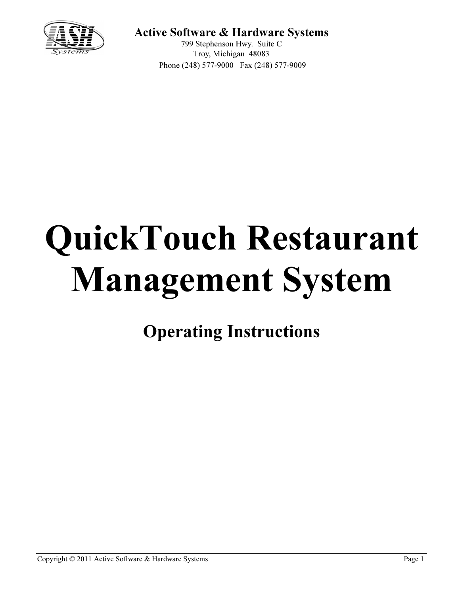

## Active Software & Hardware Systems

799 Stephenson Hwy. Suite C Troy, Michigan 48083 Phone (248) 577-9000 Fax (248) 577-9009

# QuickTouch Restaurant Management System

Operating Instructions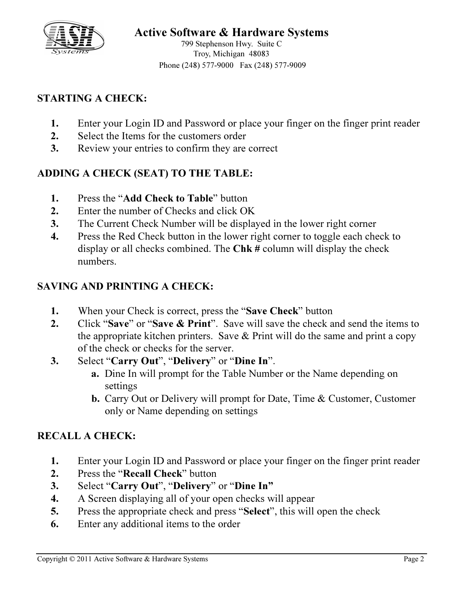

# Active Software & Hardware Systems

799 Stephenson Hwy. Suite C Troy, Michigan 48083 Phone (248) 577-9000 Fax (248) 577-9009

### STARTING A CHECK:

- 1. Enter your Login ID and Password or place your finger on the finger print reader
- 2. Select the Items for the customers order
- 3. Review your entries to confirm they are correct

## ADDING A CHECK (SEAT) TO THE TABLE:

- 1. Press the "Add Check to Table" button
- 2. Enter the number of Checks and click OK
- 3. The Current Check Number will be displayed in the lower right corner
- 4. Press the Red Check button in the lower right corner to toggle each check to display or all checks combined. The Chk # column will display the check numbers.

#### SAVING AND PRINTING A CHECK:

- 1. When your Check is correct, press the "Save Check" button
- 2. Click "Save" or "Save & Print". Save will save the check and send the items to the appropriate kitchen printers. Save  $&$  Print will do the same and print a copy of the check or checks for the server.
- 3. Select "Carry Out", "Delivery" or "Dine In".
	- a. Dine In will prompt for the Table Number or the Name depending on settings
	- b. Carry Out or Delivery will prompt for Date, Time & Customer, Customer only or Name depending on settings

#### RECALL A CHECK:

- 1. Enter your Login ID and Password or place your finger on the finger print reader
- 2. Press the "Recall Check" button
- 3. Select "Carry Out", "Delivery" or "Dine In"
- 4. A Screen displaying all of your open checks will appear
- 5. Press the appropriate check and press "Select", this will open the check
- 6. Enter any additional items to the order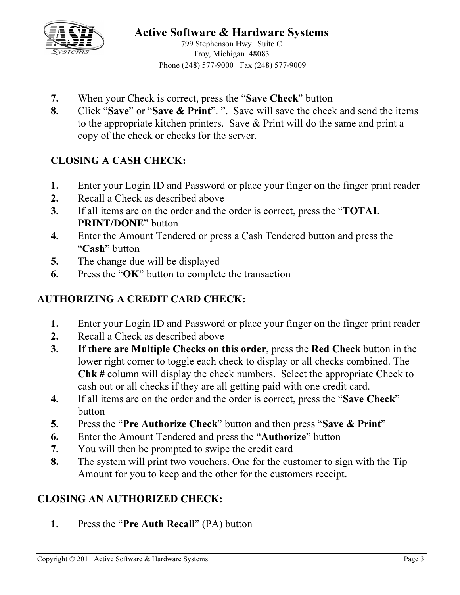

799 Stephenson Hwy. Suite C Troy, Michigan 48083 Phone (248) 577-9000 Fax (248) 577-9009

- 7. When your Check is correct, press the "Save Check" button
- 8. Click "Save" or "Save & Print". ". Save will save the check and send the items to the appropriate kitchen printers. Save & Print will do the same and print a copy of the check or checks for the server.

## CLOSING A CASH CHECK:

- 1. Enter your Login ID and Password or place your finger on the finger print reader
- 2. Recall a Check as described above
- 3. If all items are on the order and the order is correct, press the "**TOTAL** PRINT/DONE" button
- 4. Enter the Amount Tendered or press a Cash Tendered button and press the "Cash" button
- 5. The change due will be displayed
- 6. Press the "OK" button to complete the transaction

#### AUTHORIZING A CREDIT CARD CHECK:

- 1. Enter your Login ID and Password or place your finger on the finger print reader
- 2. Recall a Check as described above
- 3. If there are Multiple Checks on this order, press the Red Check button in the lower right corner to toggle each check to display or all checks combined. The Chk # column will display the check numbers. Select the appropriate Check to cash out or all checks if they are all getting paid with one credit card.
- 4. If all items are on the order and the order is correct, press the "Save Check" button
- 5. Press the "Pre Authorize Check" button and then press "Save & Print"
- 6. Enter the Amount Tendered and press the "Authorize" button
- 7. You will then be prompted to swipe the credit card
- 8. The system will print two vouchers. One for the customer to sign with the Tip Amount for you to keep and the other for the customers receipt.

#### CLOSING AN AUTHORIZED CHECK:

1. Press the "Pre Auth Recall" (PA) button